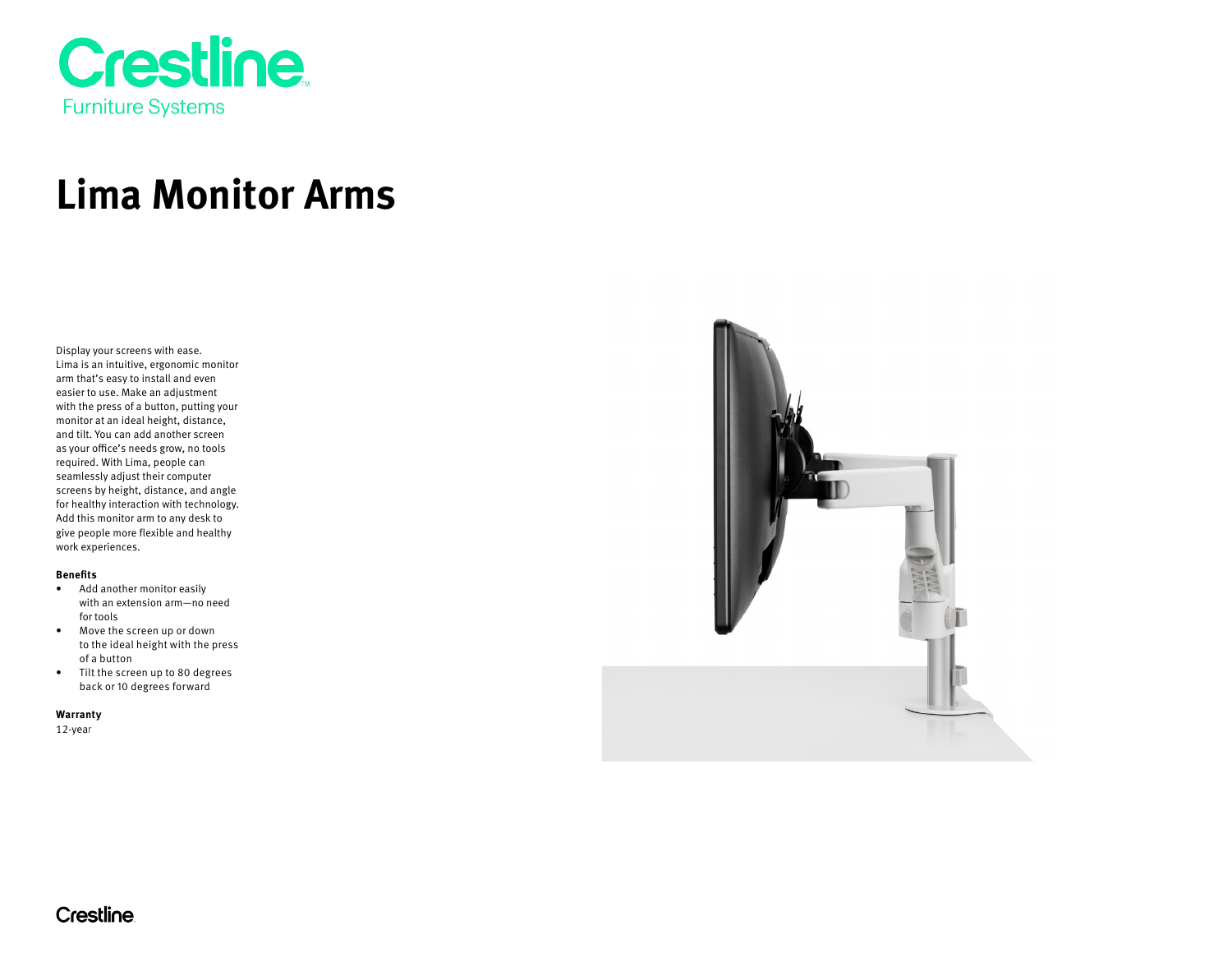

# **Lima Monitor Arms**

Display your screens with ease. Lima is an intuitive, ergonomic monitor arm that's easy to install and even easier to use. Make an adjustment with the press of a button, putting your monitor at an ideal height, distance, and tilt. You can add another screen as your office's needs grow, no tools required. With Lima, people can seamlessly adjust their computer screens by height, distance, and angle for healthy interaction with technology. Add this monitor arm to any desk to give people more flexible and healthy work experiences.

#### **Benefits**

- Add another monitor easily with an extension arm—no need for tools
- Move the screen up or down to the ideal height with the press of a button
- Tilt the screen up to 80 degrees back or 10 degrees forward

**Warranty** 

12-year